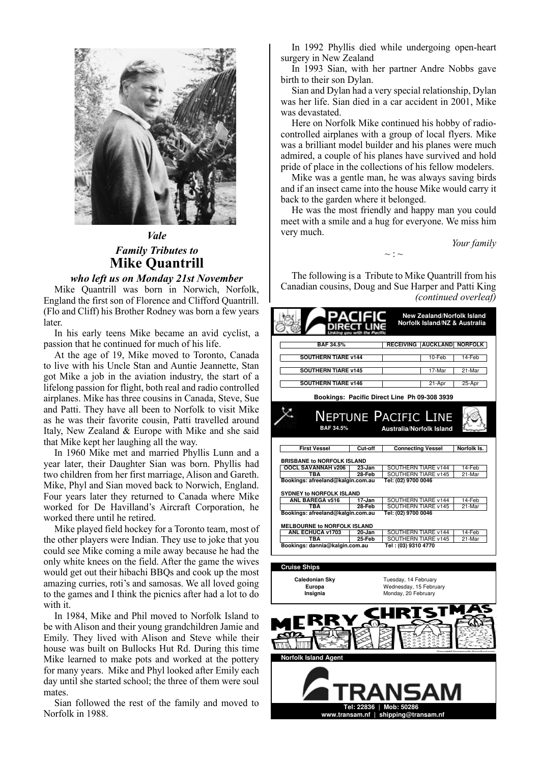

## *Vale Family Tributes to* **Mike Quantrill Mike Quantrill** *Vale Family Tributes to*

## *who left us on Monday 21st November*

Mike Quantrill was born in Norwich, Norfolk, *who left us on Monday 21st November* Mike Quantilli was born in Norwich, Norfolk, England the first son of Florence and Clifford Quantrill. England the first son of Florence and Clifford Quantrill.<br>(Flo and Cliff) his Brother Rodney was born a few years later. r to and Chiff ins Brother Rodney was born a few years<br>stor

In his early teens Mike became an avid cyclist, a In his early teens Mike became an avid cyclist, a passion that he continued for much of his life.

At the age of 19, Mike moved to Toronto, Canada At the age of 19, Mike moved to Toronto, Canada<br>to live with his Uncle Stan and Auntie Jeannette, Stan to live with his Uncle Stan and Auntie Jeannette, Stan got Mike a job in the aviation industry, the start of a got wike a job in the aviation musuly, the start of a lifelong passion for flight, both real and radio controlled airplanes. Mike has three cousins in Canada, Steve, Sue lifelong passion for flight, both real and radio controlled an planes. Mike has three cousins in Canada, Steve, Sue and Patti. They have all been to Norfolk to visit Mike and Patti. They have all been to Norfolk to visit Mike<br>as he was their favorite cousin, Patti travelled around Italy, New Zealand & Europe with Mike and she said Italy, New Zealand & Europe with Mike and she said that Mike kept her laughing all the way. raty, New Zealand & Europe with Mike and she said

In 1960 Mike met and married Phyllis Lunn and a year later, their Daughter Sian was born. Phyllis had In 1960 Mike met and married Phyllis Lunn and a year later, their Daughter Sian was born. Phyllis had<br>two children from her first marriage, Alison and Gareth. Mike, Phyl and Sian moved back to Norwich, England. two children from her first marriage, Alison and Gareth. Four years later they returned to Canada where Mike Mike, Phyl and Sian moved back to Norwich, England. Four years later they returned to Canada where Mike<br>worked for De Havilland's Aircraft Corporation, he worked there until he retired. worked for De Havilland's Aircraft Corporation, he

Mike played field hockey for a Toronto team, most of whice played field hockey for a Toronto team, most of the other players were Indian. They use to joke that you could see Mike coming a mile away because he had the the other players were Indian. They use to joke that you only white knees on the field. After the game the wives could see Mike coming a mile away because he had the only white knees on the field. After the game the wives would get out their hibachi BBQs and cook up the most would get out their moachi BBQs and cook up the most amazing curries, roti's and samosas. We all loved going anazing curries, roti's and samosas. We all loved going to the games and I think the picnics after had a lot to do with it. to the games and I think the picnics after had a lot to do

In 1984, Mike and Phil moved to Norfolk Island to be with Alison and their young grandchildren Jamie and In 1984, Mike and Phil moved to Norfolk Island to be with Alison and their young grandchildren Jamie and Emily. They lived with Alison and Steve while their Emily. They lived with Alison and Steve with their<br>house was built on Bullocks Hut Rd. During this time house was built on Bullocks Hut Rd. During this time<br>Mike learned to make pots and worked at the pottery which canned to make pots and worked at the pottery<br>for many years. Mike and Phyl looked after Emily each for many years. Which and Phyl looked after Emily each day until she started school; the three of them were soul mates. day until she started school; the three of them were soul

Sian followed the rest of the family and moved to Norfolk in 1988. Norfolk in 1988.  $S<sub>1</sub>$  followed the rest of the family and moved to  $S<sub>2</sub>$ 

In 1992 Phyllis died while undergoing open-heart In 1992 Phyllis died while undergoing open-heart surgery in New Zealand

In 1993 Sian, with her partner Andre Nobbs gave birth to their son Dylan. In 1993 Sian, with her partner Andre Nobbs gave

Sian and Dylan had a very special relationship, Dylan was her life. Sian died in a car accident in 2001, Mike Sian and Dylan had a very special relationship, Dylan was devastated. vas her life. Sian died in a car accident in 2001, Mike

was devastated.<br>Here on Norfolk Mike continued his hobby of radiocontrolled airplanes with a group of local flyers. Mike Here on Norfolk Mike continued his hobby of radiocontrolled an planes with a group of local flyers. Mike<br>was a brilliant model builder and his planes were much was a brilliant model builder and ins planes were much admired, a couple of his planes have survived and hold admired, a couple of his planes have survived and hold pride of place in the collections of his fellow modelers.

Mike was a gentle man, he was always saving birds Mike was a gentle man, he was always saving birds Mike was a gentle man, he was always saving birds<br>and if an insect came into the house Mike would carry it and if an insect came mo the house Mike would carry it back to the garden where it belonged.

He was the most friendly and happy man you could meet with a smile and a hug for everyone. We miss him He was the most friendly and happy man you could very much. very much. meet with a sinne and a hug for everyone. We miss mini-

*Your family Your family*

The following is a Tribute to Mike Quantrill from his The following is a Tribute to Mike Quantilli from his Canadian cousins, Doug and Sue Harper and Patti King *(continued overleaf) (continued overleaf)*  $\alpha$ anadian cousins, Doug and Suc Harper and Patti King

 $\sim$  :  $\sim$ 

|                                                                |                      |                                                                       |        | <b>New Zealand/Norfolk Island</b><br>Norfolk Island/NZ & Australia |
|----------------------------------------------------------------|----------------------|-----------------------------------------------------------------------|--------|--------------------------------------------------------------------|
| <b>BAF 34.5%</b>                                               |                      |                                                                       |        | RECEIVING AUCKLAND NORFOLK                                         |
| <b>SOUTHERN TIARE v144</b>                                     |                      |                                                                       | 10-Feb | 14-Feb                                                             |
| <b>SOUTHERN TIARE v145</b>                                     |                      |                                                                       | 17-Mar | 21-Mar                                                             |
| <b>SOUTHERN TIARE v146</b>                                     |                      |                                                                       | 21-Apr | $25$ -Apr                                                          |
| Bookings: Pacific Direct Line Ph 09-308 3939                   |                      |                                                                       |        |                                                                    |
| <b>NEPTUNE PACIFIC LINE</b><br><b>Australia/Norfolk Island</b> |                      |                                                                       |        |                                                                    |
| BAF 34.5%                                                      |                      |                                                                       |        |                                                                    |
| <b>First Vessel</b>                                            | Cut-off              | <b>Connecting Vessel</b>                                              |        | Norfolk Is.                                                        |
| <b>BRISBANE to NORFOLK ISLAND</b>                              |                      |                                                                       |        |                                                                    |
| OOCL SAVANNAH v206<br><b>TBA</b>                               | 23-Jan<br>28-Feb     | SOUTHERN TIARE v144<br>SOUTHERN TIARE v145                            |        | 14-Feb<br>21-Mar                                                   |
| Bookings: afreeland@kalgin.com.au                              |                      | Tel: (02) 9700 0046                                                   |        |                                                                    |
| <b>SYDNEY to NORFOLK ISLAND</b>                                |                      |                                                                       |        |                                                                    |
| ANL BAREGA v516<br><b>TBA</b>                                  | 17-Jan<br>$28 - Feb$ | SOUTHERN TIARE v144<br>SOUTHERN TIARE v145                            |        | 14-Feb<br>21-Mar                                                   |
| Bookings: afreeland@kalgin.com.au                              |                      | Tel: (02) 9700 0046                                                   |        |                                                                    |
| MELBOURNE to NORFOLK ISLAND                                    |                      |                                                                       |        |                                                                    |
| <b>ANL ECHUCA v1703</b><br>TBA                                 | $20 - Jan$<br>25-Feb | SOUTHERN TIARE v144<br>SOUTHERN TIARE v145                            |        | 14-Feb<br>21-Mar                                                   |
| Bookings: dannia@kalgin.com.au                                 |                      | Tel: (03) 9310 4770                                                   |        |                                                                    |
|                                                                |                      |                                                                       |        |                                                                    |
| <b>Cruise Ships</b><br>Caledonian Sky<br>Europa<br>Insignia    |                      | Tuesday, 14 February<br>Wednesday, 15 February<br>Monday, 20 February |        |                                                                    |
|                                                                |                      |                                                                       |        |                                                                    |
| <b>Norfolk Island Agent</b>                                    |                      | TRANSAM                                                               |        |                                                                    |

**www.transam.nf | shipping@transam.nf** 

**Tel: 22836 | Mob: 50286 www.transam.nf | shipping@transam.nf** 

**Tel: 22836 | Mob: 50286**